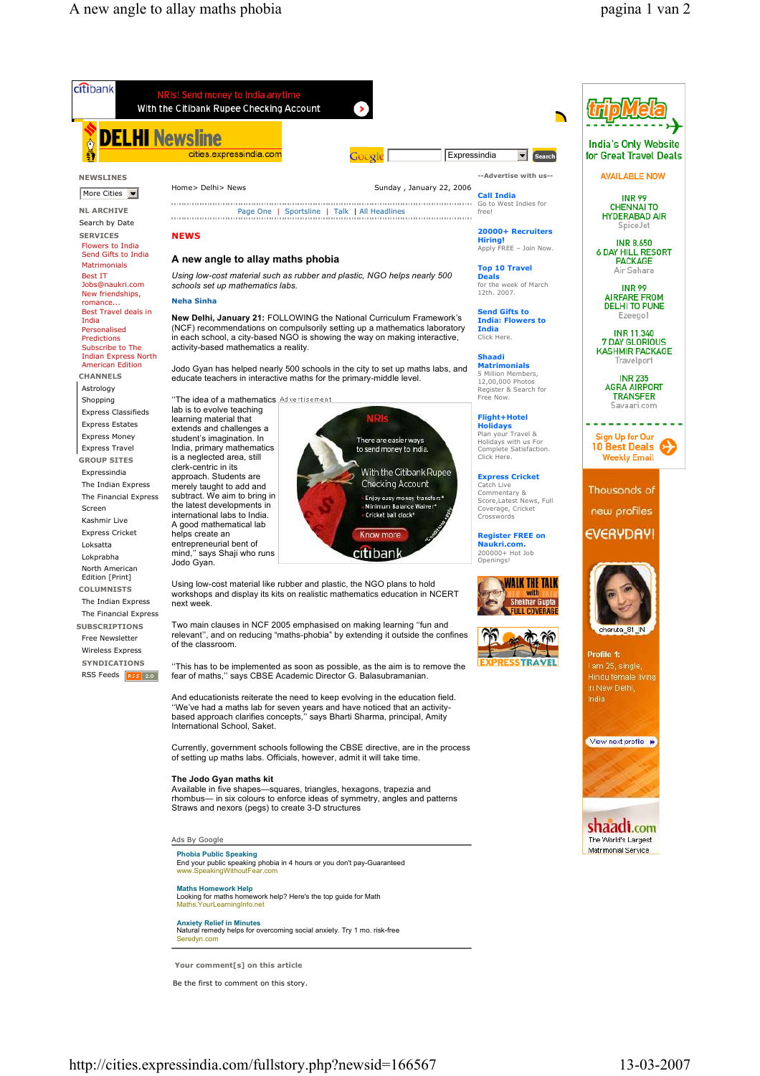

Be the first to comment on this story.